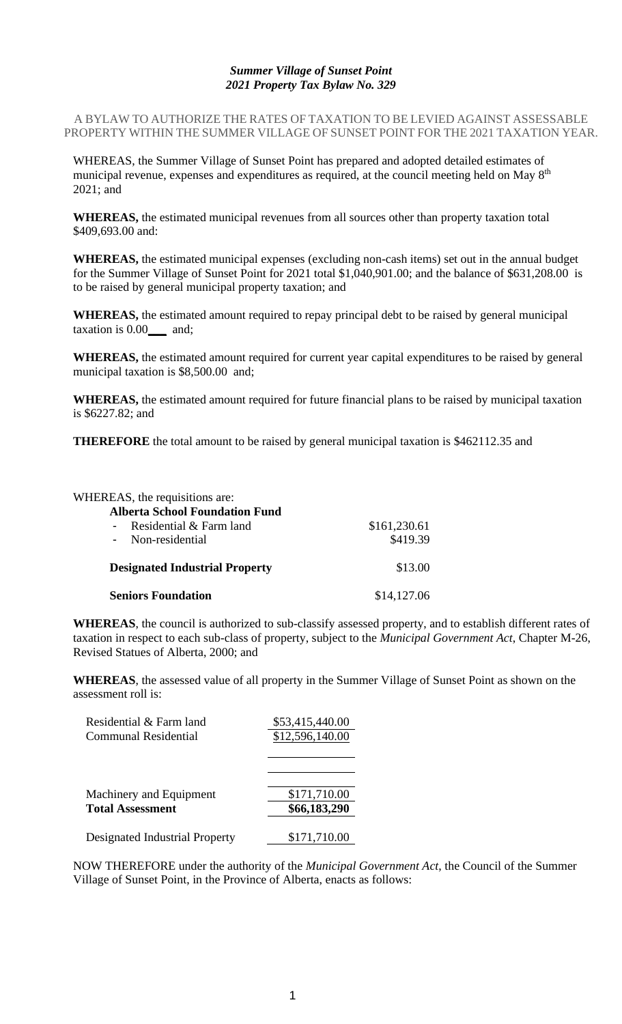## *Summer Village of Sunset Point 2021 Property Tax Bylaw No. 329*

A BYLAW TO AUTHORIZE THE RATES OF TAXATION TO BE LEVIED AGAINST ASSESSABLE PROPERTY WITHIN THE SUMMER VILLAGE OF SUNSET POINT FOR THE 2021 TAXATION YEAR.

WHEREAS, the Summer Village of Sunset Point has prepared and adopted detailed estimates of municipal revenue, expenses and expenditures as required, at the council meeting held on May 8<sup>th</sup> 2021; and

**WHEREAS,** the estimated municipal revenues from all sources other than property taxation total \$409,693.00 and:

**WHEREAS,** the estimated municipal expenses (excluding non-cash items) set out in the annual budget for the Summer Village of Sunset Point for 2021 total \$1,040,901.00; and the balance of \$631,208.00 is to be raised by general municipal property taxation; and

**WHEREAS,** the estimated amount required to repay principal debt to be raised by general municipal taxation is 0.00**\_\_\_** and;

**WHEREAS,** the estimated amount required for current year capital expenditures to be raised by general municipal taxation is \$8,500.00 and;

**WHEREAS,** the estimated amount required for future financial plans to be raised by municipal taxation is \$6227.82; and

**THEREFORE** the total amount to be raised by general municipal taxation is \$462112.35 and

| WHEREAS, the requisitions are:        |              |  |
|---------------------------------------|--------------|--|
| <b>Alberta School Foundation Fund</b> |              |  |
| Residential & Farm land               | \$161,230.61 |  |
| - Non-residential                     | \$419.39     |  |
| <b>Designated Industrial Property</b> | \$13.00      |  |
| <b>Seniors Foundation</b>             | \$14,127.06  |  |

**WHEREAS**, the council is authorized to sub-classify assessed property, and to establish different rates of taxation in respect to each sub-class of property, subject to the *Municipal Government Act*, Chapter M-26, Revised Statues of Alberta, 2000; and

**WHEREAS**, the assessed value of all property in the Summer Village of Sunset Point as shown on the assessment roll is:

| Residential & Farm land        | \$53,415,440.00 |
|--------------------------------|-----------------|
| Communal Residential           | \$12,596,140.00 |
| Machinery and Equipment        | \$171,710.00    |
| <b>Total Assessment</b>        | \$66,183,290    |
| Designated Industrial Property | \$171,710.00    |

NOW THEREFORE under the authority of the *Municipal Government Act*, the Council of the Summer Village of Sunset Point, in the Province of Alberta, enacts as follows: